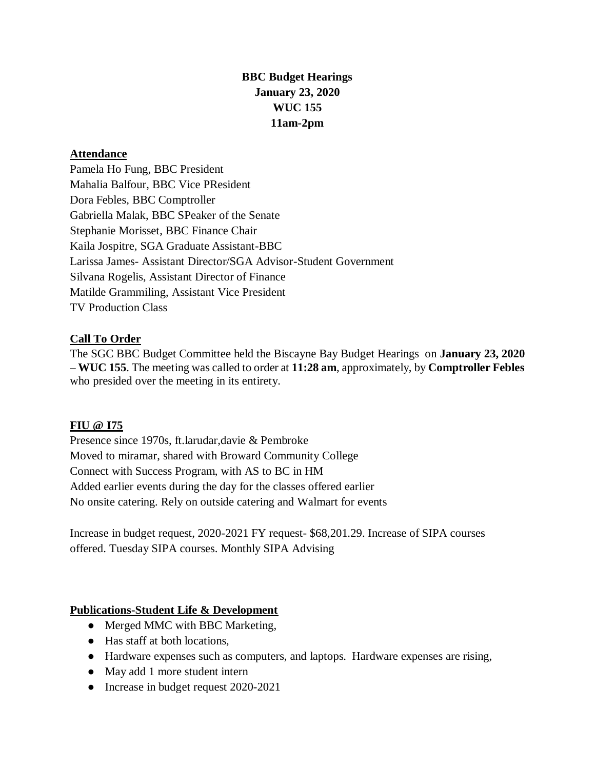# **BBC Budget Hearings January 23, 2020 WUC 155 11am-2pm**

#### **Attendance**

Pamela Ho Fung, BBC President Mahalia Balfour, BBC Vice PResident Dora Febles, BBC Comptroller Gabriella Malak, BBC SPeaker of the Senate Stephanie Morisset, BBC Finance Chair Kaila Jospitre, SGA Graduate Assistant-BBC Larissa James- Assistant Director/SGA Advisor-Student Government Silvana Rogelis, Assistant Director of Finance Matilde Grammiling, Assistant Vice President TV Production Class

### **Call To Order**

The SGC BBC Budget Committee held the Biscayne Bay Budget Hearings on **January 23, 2020** – **WUC 155**. The meeting was called to order at **11:28 am**, approximately, by **Comptroller Febles**  who presided over the meeting in its entirety.

#### **FIU @ I75**

Presence since 1970s, ft.larudar,davie & Pembroke Moved to miramar, shared with Broward Community College Connect with Success Program, with AS to BC in HM Added earlier events during the day for the classes offered earlier No onsite catering. Rely on outside catering and Walmart for events

Increase in budget request, 2020-2021 FY request- \$68,201.29. Increase of SIPA courses offered. Tuesday SIPA courses. Monthly SIPA Advising

### **Publications-Student Life & Development**

- Merged MMC with BBC Marketing,
- Has staff at both locations,
- Hardware expenses such as computers, and laptops. Hardware expenses are rising,
- May add 1 more student intern
- Increase in budget request 2020-2021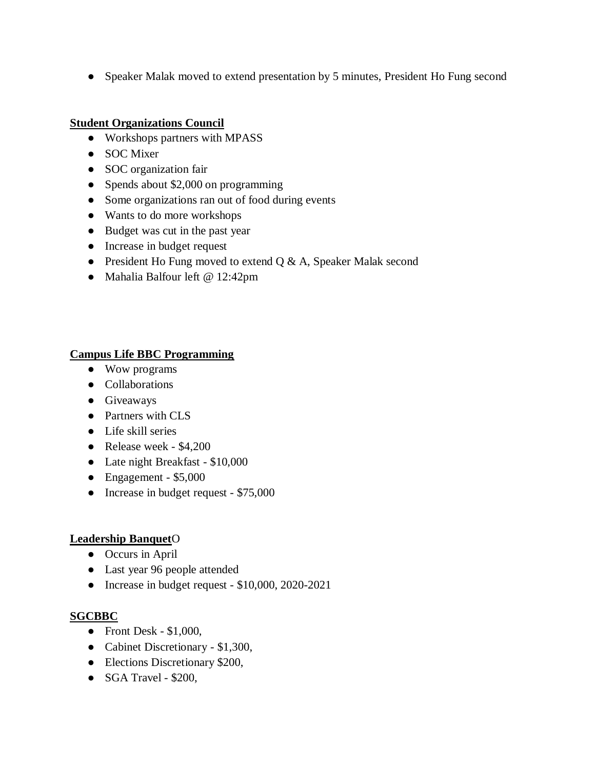• Speaker Malak moved to extend presentation by 5 minutes, President Ho Fung second

## **Student Organizations Council**

- Workshops partners with MPASS
- SOC Mixer
- SOC organization fair
- Spends about \$2,000 on programming
- Some organizations ran out of food during events
- Wants to do more workshops
- Budget was cut in the past year
- Increase in budget request
- President Ho Fung moved to extend Q & A, Speaker Malak second
- Mahalia Balfour left @ 12:42pm

### **Campus Life BBC Programming**

- Wow programs
- Collaborations
- Giveaways
- Partners with CLS
- Life skill series
- Release week \$4,200
- Late night Breakfast \$10,000
- Engagement \$5,000
- Increase in budget request \$75,000

### **Leadership Banquet**O

- Occurs in April
- Last year 96 people attended
- Increase in budget request \$10,000, 2020-2021

### **SGCBBC**

- $\bullet$  Front Desk \$1,000,
- Cabinet Discretionary \$1,300,
- Elections Discretionary \$200,
- SGA Travel \$200,